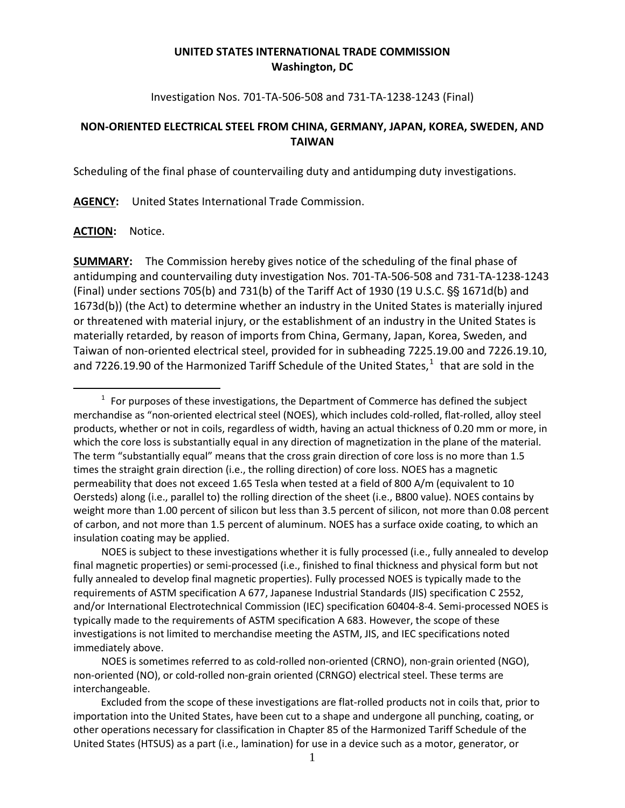## **UNITED STATES INTERNATIONAL TRADE COMMISSION Washington, DC**

Investigation Nos. 701-TA-506-508 and 731-TA-1238-1243 (Final)

## **NON-ORIENTED ELECTRICAL STEEL FROM CHINA, GERMANY, JAPAN, KOREA, SWEDEN, AND TAIWAN**

Scheduling of the final phase of countervailing duty and antidumping duty investigations.

**AGENCY:** United States International Trade Commission.

## **ACTION:** Notice.

 $\overline{a}$ 

**SUMMARY:** The Commission hereby gives notice of the scheduling of the final phase of antidumping and countervailing duty investigation Nos. 701-TA-506-508 and 731-TA-1238-1243 (Final) under sections 705(b) and 731(b) of the Tariff Act of 1930 (19 U.S.C.  $\S$ § 1671d(b) and 1673d(b)) (the Act) to determine whether an industry in the United States is materially injured or threatened with material injury, or the establishment of an industry in the United States is materially retarded, by reason of imports from China, Germany, Japan, Korea, Sweden, and Taiwan of non-oriented electrical steel, provided for in subheading 7225.19.00 and 7226.19.10, and 7226.[1](#page-0-0)9.90 of the Harmonized Tariff Schedule of the United States, $^1$  that are sold in the

<span id="page-0-0"></span> $1$  For purposes of these investigations, the Department of Commerce has defined the subject merchandise as "non-oriented electrical steel (NOES), which includes cold-rolled, flat-rolled, alloy steel products, whether or not in coils, regardless of width, having an actual thickness of 0.20 mm or more, in which the core loss is substantially equal in any direction of magnetization in the plane of the material. The term "substantially equal" means that the cross grain direction of core loss is no more than 1.5 times the straight grain direction (i.e., the rolling direction) of core loss. NOES has a magnetic permeability that does not exceed 1.65 Tesla when tested at a field of 800 A/m (equivalent to 10 Oersteds) along (i.e., parallel to) the rolling direction of the sheet (i.e., B800 value). NOES contains by weight more than 1.00 percent of silicon but less than 3.5 percent of silicon, not more than 0.08 percent of carbon, and not more than 1.5 percent of aluminum. NOES has a surface oxide coating, to which an insulation coating may be applied.

NOES is subject to these investigations whether it is fully processed (i.e., fully annealed to develop final magnetic properties) or semi-processed (i.e., finished to final thickness and physical form but not fully annealed to develop final magnetic properties). Fully processed NOES is typically made to the requirements of ASTM specification A 677, Japanese Industrial Standards (JIS) specification C 2552, and/or International Electrotechnical Commission (IEC) specification 60404-8-4. Semi-processed NOES is typically made to the requirements of ASTM specification A 683. However, the scope of these investigations is not limited to merchandise meeting the ASTM, JIS, and IEC specifications noted immediately above.

NOES is sometimes referred to as cold-rolled non-oriented (CRNO), non-grain oriented (NGO), non-oriented (NO), or cold-rolled non-grain oriented (CRNGO) electrical steel. These terms are interchangeable.

Excluded from the scope of these investigations are flat-rolled products not in coils that, prior to importation into the United States, have been cut to a shape and undergone all punching, coating, or other operations necessary for classification in Chapter 85 of the Harmonized Tariff Schedule of the United States (HTSUS) as a part (i.e., lamination) for use in a device such as a motor, generator, or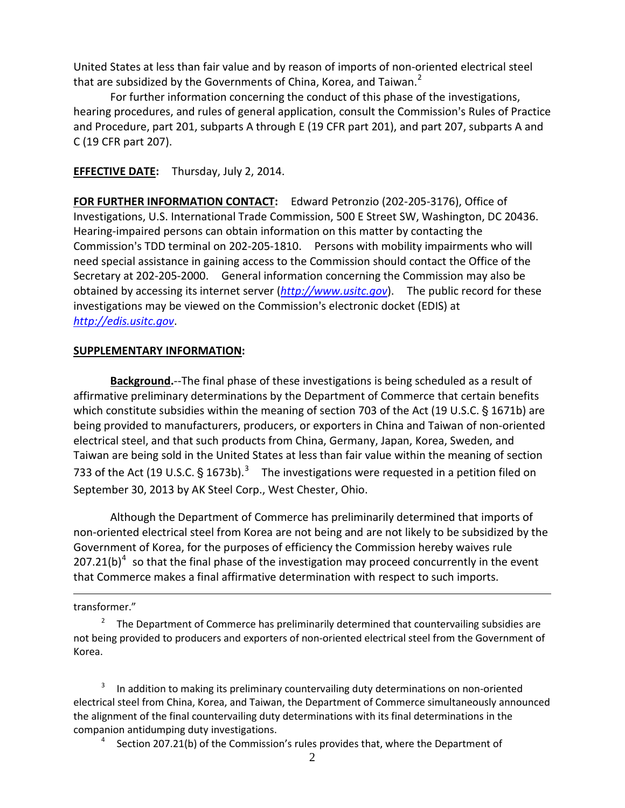United States at less than fair value and by reason of imports of non-oriented electrical steel that are subsidized by the Governments of China, Korea, and Taiwan. $<sup>2</sup>$  $<sup>2</sup>$  $<sup>2</sup>$ </sup>

For further information concerning the conduct of this phase of the investigations, hearing procedures, and rules of general application, consult the Commission's Rules of Practice and Procedure, part 201, subparts A through E (19 CFR part 201), and part 207, subparts A and C (19 CFR part 207).

**EFFECTIVE DATE:** Thursday, July 2, 2014.

**FOR FURTHER INFORMATION CONTACT:** Edward Petronzio (202-205-3176), Office of Investigations, U.S. International Trade Commission, 500 E Street SW, Washington, DC 20436. Hearing-impaired persons can obtain information on this matter by contacting the Commission's TDD terminal on 202-205-1810. Persons with mobility impairments who will need special assistance in gaining access to the Commission should contact the Office of the Secretary at 202-205-2000. General information concerning the Commission may also be obtained by accessing its internet server (*[http://www.usitc.gov](http://www.usitc.gov/)*). The public record for these investigations may be viewed on the Commission's electronic docket (EDIS) at *[http://edis.usitc.gov](http://edis.usitc.gov/)*.

## **SUPPLEMENTARY INFORMATION:**

**Background.**--The final phase of these investigations is being scheduled as a result of affirmative preliminary determinations by the Department of Commerce that certain benefits which constitute subsidies within the meaning of section 703 of the Act (19 U.S.C.  $\S$  1671b) are being provided to manufacturers, producers, or exporters in China and Taiwan of non-oriented electrical steel, and that such products from China, Germany, Japan, Korea, Sweden, and Taiwan are being sold in the United States at less than fair value within the meaning of section 7[3](#page-1-1)3 of the Act (19 U.S.C. § 1673b).<sup>3</sup> The investigations were requested in a petition filed on September 30, 2013 by AK Steel Corp., West Chester, Ohio.

Although the Department of Commerce has preliminarily determined that imports of non-oriented electrical steel from Korea are not being and are not likely to be subsidized by the Government of Korea, for the purposes of efficiency the Commission hereby waives rule  $207.21(b)^4$  $207.21(b)^4$  so that the final phase of the investigation may proceed concurrently in the event that Commerce makes a final affirmative determination with respect to such imports.

transformer."

 $\overline{a}$ 

<span id="page-1-0"></span>2 The Department of Commerce has preliminarily determined that countervailing subsidies are not being provided to producers and exporters of non-oriented electrical steel from the Government of Korea.

<span id="page-1-2"></span><span id="page-1-1"></span>3 In addition to making its preliminary countervailing duty determinations on non-oriented electrical steel from China, Korea, and Taiwan, the Department of Commerce simultaneously announced the alignment of the final countervailing duty determinations with its final determinations in the companion antidumping duty investigations. 4

<sup>4</sup> Section 207.21(b) of the Commission's rules provides that, where the Department of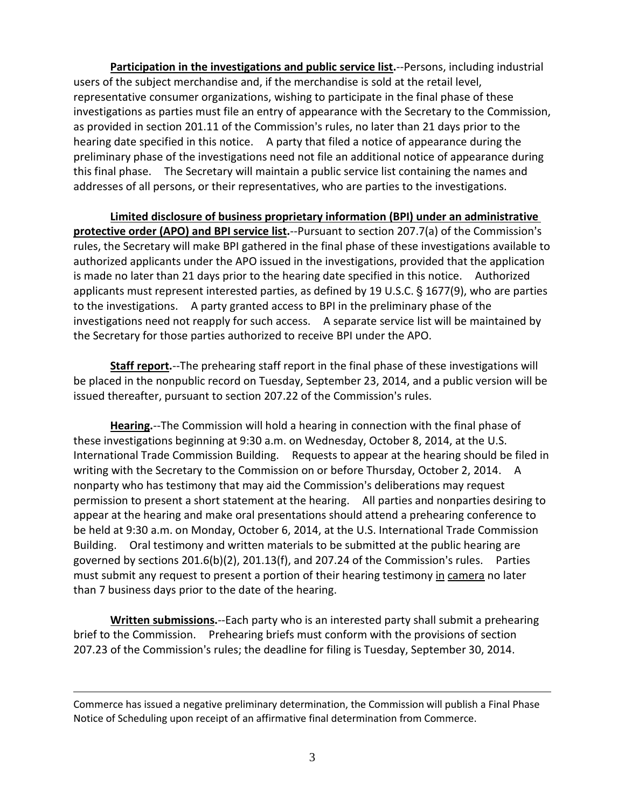**Participation in the investigations and public service list.**--Persons, including industrial users of the subject merchandise and, if the merchandise is sold at the retail level, representative consumer organizations, wishing to participate in the final phase of these investigations as parties must file an entry of appearance with the Secretary to the Commission, as provided in section 201.11 of the Commission's rules, no later than 21 days prior to the hearing date specified in this notice. A party that filed a notice of appearance during the preliminary phase of the investigations need not file an additional notice of appearance during this final phase. The Secretary will maintain a public service list containing the names and addresses of all persons, or their representatives, who are parties to the investigations.

**Limited disclosure of business proprietary information (BPI) under an administrative protective order (APO) and BPI service list.**--Pursuant to section 207.7(a) of the Commission's rules, the Secretary will make BPI gathered in the final phase of these investigations available to authorized applicants under the APO issued in the investigations, provided that the application is made no later than 21 days prior to the hearing date specified in this notice. Authorized applicants must represent interested parties, as defined by 19 U.S.C. § 1677(9), who are parties to the investigations. A party granted access to BPI in the preliminary phase of the investigations need not reapply for such access. A separate service list will be maintained by the Secretary for those parties authorized to receive BPI under the APO.

**Staff report.**--The prehearing staff report in the final phase of these investigations will be placed in the nonpublic record on Tuesday, September 23, 2014, and a public version will be issued thereafter, pursuant to section 207.22 of the Commission's rules.

**Hearing.**--The Commission will hold a hearing in connection with the final phase of these investigations beginning at 9:30 a.m. on Wednesday, October 8, 2014, at the U.S. International Trade Commission Building. Requests to appear at the hearing should be filed in writing with the Secretary to the Commission on or before Thursday, October 2, 2014. A nonparty who has testimony that may aid the Commission's deliberations may request permission to present a short statement at the hearing. All parties and nonparties desiring to appear at the hearing and make oral presentations should attend a prehearing conference to be held at 9:30 a.m. on Monday, October 6, 2014, at the U.S. International Trade Commission Building. Oral testimony and written materials to be submitted at the public hearing are governed by sections  $201.6(b)(2)$ ,  $201.13(f)$ , and  $207.24$  of the Commission's rules. Parties must submit any request to present a portion of their hearing testimony in camera no later than 7 business days prior to the date of the hearing.

**Written submissions.**--Each party who is an interested party shall submit a prehearing brief to the Commission. Prehearing briefs must conform with the provisions of section 207.23 of the Commission's rules; the deadline for filing is Tuesday, September 30, 2014.

 $\overline{a}$ 

Commerce has issued a negative preliminary determination, the Commission will publish a Final Phase Notice of Scheduling upon receipt of an affirmative final determination from Commerce.